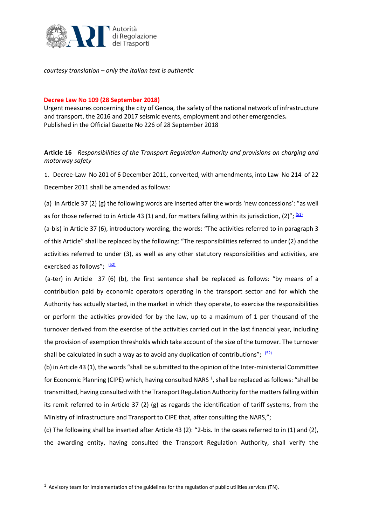

*courtesy translation – only the Italian text is authentic*

## **Decree Law No 109 (28 September 2018)**

Urgent measures concerning the city of Genoa, the safety of the national network of infrastructure and transport, the 2016 and 2017 seismic events, employment and other emergencies**.** Published in the Official Gazette No 226 of 28 September 2018

**Article 16** *Responsibilities of the Transport Regulation Authority and provisions on charging and motorway safety* 

1. [Decree-Law No 201 of 6 December 2011,](http://bd01.leggiditalia.it/cgi-bin/FulShow?TIPO=5&NOTXT=1&KEY=01LX0000762339ART0) [converted, with amendments, into Law](http://bd01.leggiditalia.it/cgi-bin/FulShow?TIPO=5&NOTXT=1&KEY=01LX0000762339ART0) No [214 of 22](http://bd01.leggiditalia.it/cgi-bin/FulShow?TIPO=5&NOTXT=1&KEY=01LX0000762339ART0)  [December 2011](http://bd01.leggiditalia.it/cgi-bin/FulShow?TIPO=5&NOTXT=1&KEY=01LX0000762339ART0) [shall be amended as follows:](http://bd01.leggiditalia.it/cgi-bin/FulShow?TIPO=5&NOTXT=1&KEY=01LX0000762339ART0)

(a) in [Article](http://bd01.leggiditalia.it/cgi-bin/FulShow?TIPO=5&NOTXT=1&KEY=01LX0000761503ART91) 37 [\(2\)](http://bd01.leggiditalia.it/cgi-bin/FulShow?TIPO=5&NOTXT=1&KEY=01LX0000761503ART91) (g) the following words are inserted after the words 'new concessions': "as well as for those referred to in Article 43 (1) and, for matters falling within its jurisdiction, (2)";  $(51)$ (a-bis) in [Article](http://bd01.leggiditalia.it/cgi-bin/FulShow?TIPO=5&NOTXT=1&KEY=01LX0000761503ART91) 37 ([6\),](http://bd01.leggiditalia.it/cgi-bin/FulShow?TIPO=5&NOTXT=1&KEY=01LX0000761503ART91) introductory wording, the words: "The activities referred to in paragraph 3 of this Article" shall be replaced by the following: "The responsibilities referred to under (2) and the activities referred to under (3), as well as any other statutory responsibilities and activities, are exercised as follows"; [\(52\)](http://bd01.leggiditalia.it/cgi-bin/FulShow?NAVIPOS=1&DS_POS=0&KEY=01LX0000868357ART34&FT_CID=13893&OPERA=01#52)

(a-ter) in [Article](http://bd01.leggiditalia.it/cgi-bin/FulShow?TIPO=5&NOTXT=1&KEY=01LX0000761503ART91) 37 (6) (b), the first sentence shall be replaced as follows: "by means of a contribution paid by economic operators operating in the transport sector and for which the Authority has actually started, in the market in which they operate, to exercise the responsibilities or perform the activities provided for by the law, up to a maximum of 1 per thousand of the turnover derived from the exercise of the activities carried out in the last financial year, including the provision of exemption thresholds which take account of the size of the turnover. The turnover shall be calculated in such a way as to avoid any duplication of contributions";  $(52)$ 

(b) in Article 43 (1), the words "shall be submitted to the opinion of the Inter-ministerial Committee for Economic Planning (CIPE) which, having consulted NARS<sup>[1](#page-0-0)</sup>, shall be replaced as follows: "shall be transmitted, having consulted with the Transport Regulation Authority for the matters falling within its remit referred to in Article 37 (2) (g) as regards the identification of tariff systems, from the Ministry of Infrastructure and Transport to CIPE that, after consulting the NARS,";

(c) The following shall be inserted after Article 43 (2): "2-bis. In the cases referred to in (1) and (2), the awarding entity, having consulted the Transport Regulation Authority, shall verify the

<span id="page-0-0"></span> $1$  Advisory team for implementation of the guidelines for the regulation of public utilities services (TN).